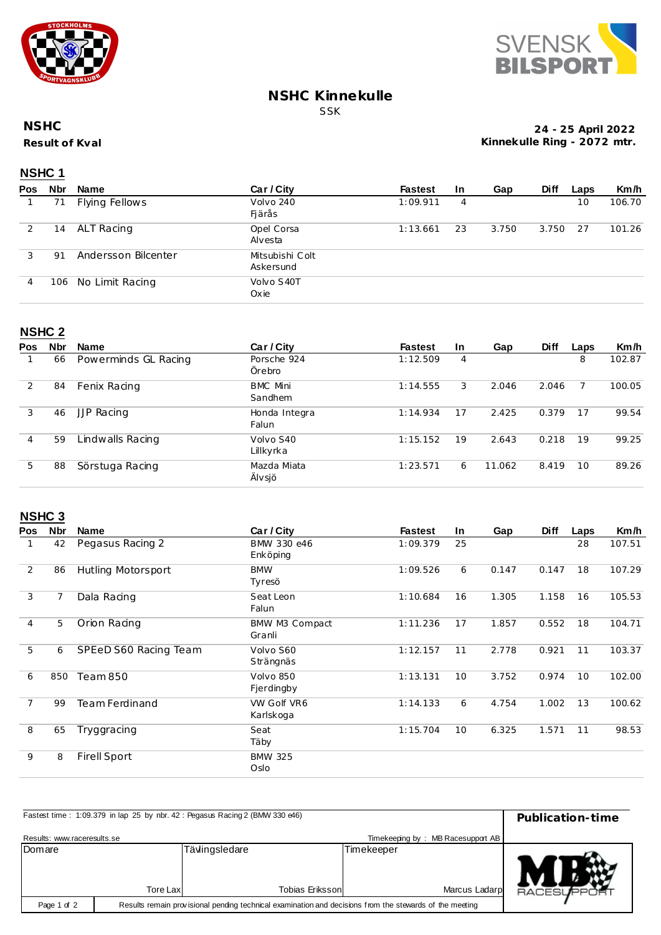



### **NSHC Kinnekulle** SSK

#### **Result of Kval NSHC**

**24 - 25 April 2022 Kinnekulle Ring - 2072 mtr.**

## **NSHC 1**

| <b>Pos</b> | <b>Nbr</b> | Name                | Car / City                   | <b>Fastest</b> | <b>In</b> | Gap   | <b>Diff</b> | Laps | Km/h   |
|------------|------------|---------------------|------------------------------|----------------|-----------|-------|-------------|------|--------|
|            | 71         | Flying Fellows      | Volvo 240<br>Fjärås          | 1:09.911       | 4         |       |             | 10   | 106.70 |
|            | 14         | ALT Racing          | Opel Corsa<br>Alvesta        | 1:13.661       | 23        | 3.750 | 3.750       | 27   | 101.26 |
| 3          | -91        | Andersson Bilcenter | Mitsubishi Colt<br>Askersund |                |           |       |             |      |        |
| 4          | 106        | No Limit Racing     | Volvo S40T<br>Oxie           |                |           |       |             |      |        |

### **NSHC 2**

| Pos | <b>Nbr</b> | Name                 | Car / City                 | <b>Fastest</b> | <b>In</b> | Gap    | <b>Diff</b> | Laps | Km/h   |
|-----|------------|----------------------|----------------------------|----------------|-----------|--------|-------------|------|--------|
|     | 66         | Powerminds GL Racing | Porsche 924<br>Örebro      | 1:12.509       | 4         |        |             | 8    | 102.87 |
| 2   | 84         | Fenix Racing         | <b>BMC Mini</b><br>Sandhem | 1:14.555       | 3         | 2.046  | 2.046       |      | 100.05 |
| 3   | 46         | <b>JJP Racing</b>    | Honda Integra<br>Falun     | 1:14.934       | 17        | 2.425  | 0.379       | 17   | 99.54  |
| 4   | 59         | indwalls Racing      | Volvo S40<br>Lillkyrka     | 1:15.152       | 19        | 2.643  | 0.218       | 19   | 99.25  |
| 5   | 88         | Sörstuga Racing      | Mazda Miata<br>Älvsjö      | 1:23.571       | 6         | 11.062 | 8.419       | 10   | 89.26  |

# **NSHC 3**

| <b>Pos</b>     | Nbr | <b>Name</b>           | Car / City               | <b>Fastest</b> | In. | Gap   | <b>Diff</b> | Laps | Km/h   |
|----------------|-----|-----------------------|--------------------------|----------------|-----|-------|-------------|------|--------|
|                | 42  | Pegasus Racing 2      | BMW 330 e46<br>Enköping  | 1:09.379       | 25  |       |             | 28   | 107.51 |
| 2              | 86  | Hutling Motorsport    | <b>BMW</b><br>Tyresö     | 1:09.526       | 6   | 0.147 | 0.147       | 18   | 107.29 |
| 3              | 7   | Dala Racing           | Seat Leon<br>Falun       | 1:10.684       | 16  | 1.305 | 1.158       | 16   | 105.53 |
| 4              | 5   | Orion Racing          | BMW M3 Compact<br>Granli | 1:11.236       | 17  | 1.857 | 0.552       | 18   | 104.71 |
| 5              | 6   | SPEeD S60 Racing Team | Volvo S60<br>Strängnäs   | 1:12.157       | 11  | 2.778 | 0.921       | 11   | 103.37 |
| 6              | 850 | Team 850              | Volvo 850<br>Fjerdingby  | 1:13.131       | 10  | 3.752 | 0.974       | 10   | 102.00 |
| $\overline{7}$ | 99  | <b>Team Ferdinand</b> | VW Golf VR6<br>Karlskoga | 1:14.133       | 6   | 4.754 | 1.002       | 13   | 100.62 |
| 8              | 65  | Tryggracing           | Seat<br>Täby             | 1:15.704       | 10  | 6.325 | 1.571       | 11   | 98.53  |
| 9              | 8   | <b>Firell Sport</b>   | <b>BMW 325</b><br>Oslo   |                |     |       |             |      |        |

| Fastest time: 1:09.379 in lap 25 by nbr. 42: Pegasus Racing 2 (BMW 330 e46) | Publication-time                                                                                        |                        |               |                   |
|-----------------------------------------------------------------------------|---------------------------------------------------------------------------------------------------------|------------------------|---------------|-------------------|
| Results: www.raceresults.se                                                 | Timekeeping by: MB Racesupport AB                                                                       |                        |               |                   |
| Domare                                                                      |                                                                                                         | Tävlingsledare         | Timekeeper    |                   |
|                                                                             | Tore Lax                                                                                                | <b>Tobias Eriksson</b> | Marcus Ladarp | <b>RACESUPPOR</b> |
| Page 1 of 2                                                                 | Results remain provisional pending technical examination and decisions from the stewards of the meeting |                        |               |                   |